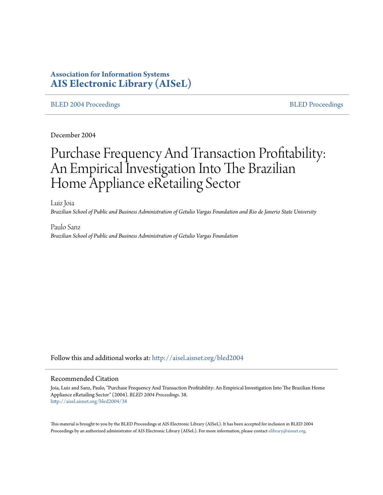# **Association for Information Systems [AIS Electronic Library \(AISeL\)](http://aisel.aisnet.org?utm_source=aisel.aisnet.org%2Fbled2004%2F38&utm_medium=PDF&utm_campaign=PDFCoverPages)**

## [BLED 2004 Proceedings](http://aisel.aisnet.org/bled2004?utm_source=aisel.aisnet.org%2Fbled2004%2F38&utm_medium=PDF&utm_campaign=PDFCoverPages) and the state of the state of the [BLED Proceedings](http://aisel.aisnet.org/bled?utm_source=aisel.aisnet.org%2Fbled2004%2F38&utm_medium=PDF&utm_campaign=PDFCoverPages) and the BLED Proceedings and the BLED Proceedings and the BLED Proceedings and the BLED Proceedings and the BLED Proceedings and the BLED Proceedings

December 2004

# Purchase Frequency And Transaction Profitability: An Empirical Investigation Into The Brazilian Home Appliance eRetailing Sector

Luiz Joia *Brazilian School of Public and Business Administration of Getulio Vargas Foundation and Rio de Janerio State University*

Paulo Sanz *Brazilian School of Public and Business Administration of Getulio Vargas Foundation*

Follow this and additional works at: [http://aisel.aisnet.org/bled2004](http://aisel.aisnet.org/bled2004?utm_source=aisel.aisnet.org%2Fbled2004%2F38&utm_medium=PDF&utm_campaign=PDFCoverPages)

#### Recommended Citation

Joia, Luiz and Sanz, Paulo, "Purchase Frequency And Transaction Profitability: An Empirical Investigation Into The Brazilian Home Appliance eRetailing Sector" (2004). *BLED 2004 Proceedings*. 38. [http://aisel.aisnet.org/bled2004/38](http://aisel.aisnet.org/bled2004/38?utm_source=aisel.aisnet.org%2Fbled2004%2F38&utm_medium=PDF&utm_campaign=PDFCoverPages)

This material is brought to you by the BLED Proceedings at AIS Electronic Library (AISeL). It has been accepted for inclusion in BLED 2004 Proceedings by an authorized administrator of AIS Electronic Library (AISeL). For more information, please contact [elibrary@aisnet.org](mailto:elibrary@aisnet.org%3E).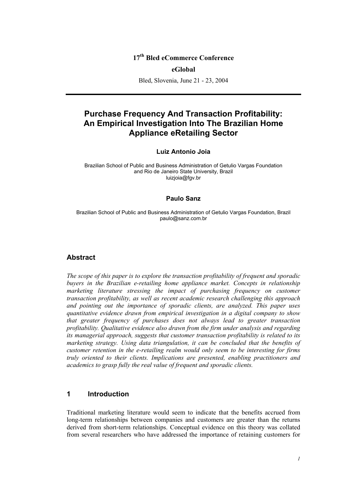# **17th Bled eCommerce Conference**

## **eGlobal**

Bled, Slovenia, June 21 - 23, 2004

# **Purchase Frequency And Transaction Profitability: An Empirical Investigation Into The Brazilian Home Appliance eRetailing Sector**

## **Luiz Antonio Joia**

Brazilian School of Public and Business Administration of Getulio Vargas Foundation and Rio de Janeiro State University, Brazil luizjoia@fgv.br

## **Paulo Sanz**

Brazilian School of Public and Business Administration of Getulio Vargas Foundation, Brazil paulo@sanz.com.br

## **Abstract**

*The scope of this paper is to explore the transaction profitability of frequent and sporadic buyers in the Brazilian e-retailing home appliance market. Concepts in relationship marketing literature stressing the impact of purchasing frequency on customer transaction profitability, as well as recent academic research challenging this approach and pointing out the importance of sporadic clients, are analyzed. This paper uses quantitative evidence drawn from empirical investigation in a digital company to show that greater frequency of purchases does not always lead to greater transaction profitability. Qualitative evidence also drawn from the firm under analysis and regarding its managerial approach, suggests that customer transaction profitability is related to its marketing strategy. Using data triangulation, it can be concluded that the benefits of customer retention in the e-retailing realm would only seem to be interesting for firms truly oriented to their clients. Implications are presented, enabling practitioners and academics to grasp fully the real value of frequent and sporadic clients.* 

## **1 Introduction**

Traditional marketing literature would seem to indicate that the benefits accrued from long-term relationships between companies and customers are greater than the returns derived from short-term relationships. Conceptual evidence on this theory was collated from several researchers who have addressed the importance of retaining customers for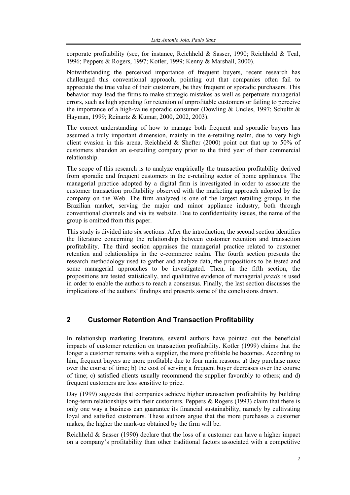corporate profitability (see, for instance, Reichheld & Sasser, 1990; Reichheld & Teal, 1996; Peppers & Rogers, 1997; Kotler, 1999; Kenny & Marshall, 2000).

Notwithstanding the perceived importance of frequent buyers, recent research has challenged this conventional approach, pointing out that companies often fail to appreciate the true value of their customers, be they frequent or sporadic purchasers. This behavior may lead the firms to make strategic mistakes as well as perpetuate managerial errors, such as high spending for retention of unprofitable customers or failing to perceive the importance of a high-value sporadic consumer (Dowling & Uncles, 1997; Schultz & Hayman, 1999; Reinartz & Kumar, 2000, 2002, 2003).

The correct understanding of how to manage both frequent and sporadic buyers has assumed a truly important dimension, mainly in the e-retailing realm, due to very high client evasion in this arena. Reichheld & Shefter (2000) point out that up to 50% of customers abandon an e-retailing company prior to the third year of their commercial relationship.

The scope of this research is to analyze empirically the transaction profitability derived from sporadic and frequent customers in the e-retailing sector of home appliances. The managerial practice adopted by a digital firm is investigated in order to associate the customer transaction profitability observed with the marketing approach adopted by the company on the Web. The firm analyzed is one of the largest retailing groups in the Brazilian market, serving the major and minor appliance industry, both through conventional channels and via its website. Due to confidentiality issues, the name of the group is omitted from this paper.

This study is divided into six sections. After the introduction, the second section identifies the literature concerning the relationship between customer retention and transaction profitability. The third section appraises the managerial practice related to customer retention and relationships in the e-commerce realm. The fourth section presents the research methodology used to gather and analyze data, the propositions to be tested and some managerial approaches to be investigated. Then, in the fifth section, the propositions are tested statistically, and qualitative evidence of managerial *praxis* is used in order to enable the authors to reach a consensus. Finally, the last section discusses the implications of the authors' findings and presents some of the conclusions drawn.

# **2 Customer Retention And Transaction Profitability**

In relationship marketing literature, several authors have pointed out the beneficial impacts of customer retention on transaction profitability. Kotler (1999) claims that the longer a customer remains with a supplier, the more profitable he becomes. According to him, frequent buyers are more profitable due to four main reasons: a) they purchase more over the course of time; b) the cost of serving a frequent buyer decreases over the course of time; c) satisfied clients usually recommend the supplier favorably to others; and d) frequent customers are less sensitive to price.

Day (1999) suggests that companies achieve higher transaction profitability by building long-term relationships with their customers. Peppers & Rogers (1993) claim that there is only one way a business can guarantee its financial sustainability, namely by cultivating loyal and satisfied customers. These authors argue that the more purchases a customer makes, the higher the mark-up obtained by the firm will be.

Reichheld  $\&$  Sasser (1990) declare that the loss of a customer can have a higher impact on a company's profitability than other traditional factors associated with a competitive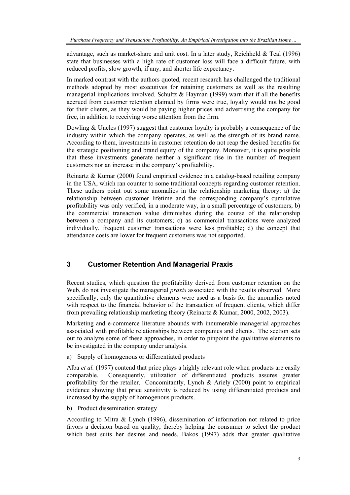advantage, such as market-share and unit cost. In a later study, Reichheld & Teal (1996) state that businesses with a high rate of customer loss will face a difficult future, with reduced profits, slow growth, if any, and shorter life expectancy.

In marked contrast with the authors quoted, recent research has challenged the traditional methods adopted by most executives for retaining customers as well as the resulting managerial implications involved. Schultz  $&$  Hayman (1999) warn that if all the benefits accrued from customer retention claimed by firms were true, loyalty would not be good for their clients, as they would be paying higher prices and advertising the company for free, in addition to receiving worse attention from the firm.

Dowling & Uncles (1997) suggest that customer loyalty is probably a consequence of the industry within which the company operates, as well as the strength of its brand name. According to them, investments in customer retention do not reap the desired benefits for the strategic positioning and brand equity of the company. Moreover, it is quite possible that these investments generate neither a significant rise in the number of frequent customers nor an increase in the company's profitability.

Reinartz & Kumar (2000) found empirical evidence in a catalog-based retailing company in the USA, which ran counter to some traditional concepts regarding customer retention. These authors point out some anomalies in the relationship marketing theory: a) the relationship between customer lifetime and the corresponding company's cumulative profitability was only verified, in a moderate way, in a small percentage of customers; b) the commercial transaction value diminishes during the course of the relationship between a company and its customers; c) as commercial transactions were analyzed individually, frequent customer transactions were less profitable; d) the concept that attendance costs are lower for frequent customers was not supported.

# **3 Customer Retention And Managerial Praxis**

Recent studies, which question the profitability derived from customer retention on the Web, do not investigate the managerial *praxis* associated with the results observed. More specifically, only the quantitative elements were used as a basis for the anomalies noted with respect to the financial behavior of the transaction of frequent clients, which differ from prevailing relationship marketing theory (Reinartz & Kumar, 2000, 2002, 2003).

Marketing and e-commerce literature abounds with innumerable managerial approaches associated with profitable relationships between companies and clients. The section sets out to analyze some of these approaches, in order to pinpoint the qualitative elements to be investigated in the company under analysis.

a) Supply of homogenous or differentiated products

Alba *et al.* (1997) contend that price plays a highly relevant role when products are easily comparable. Consequently, utilization of differentiated products assures greater profitability for the retailer. Concomitantly, Lynch & Ariely (2000) point to empirical evidence showing that price sensitivity is reduced by using differentiated products and increased by the supply of homogenous products.

b) Product dissemination strategy

According to Mitra & Lynch (1996), dissemination of information not related to price favors a decision based on quality, thereby helping the consumer to select the product which best suits her desires and needs. Bakos (1997) adds that greater qualitative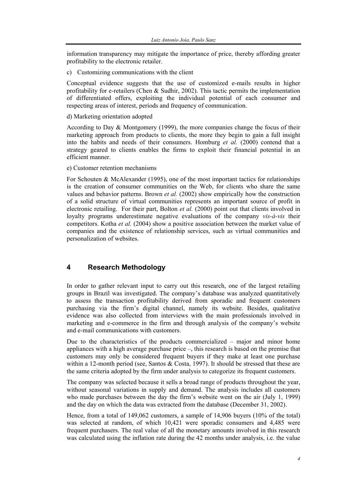information transparency may mitigate the importance of price, thereby affording greater profitability to the electronic retailer.

c) Customizing communications with the client

Conceptual evidence suggests that the use of customized e-mails results in higher profitability for e-retailers (Chen & Sudhir, 2002). This tactic permits the implementation of differentiated offers, exploiting the individual potential of each consumer and respecting areas of interest, periods and frequency of communication.

d) Marketing orientation adopted

According to Day & Montgomery (1999), the more companies change the focus of their marketing approach from products to clients, the more they begin to gain a full insight into the habits and needs of their consumers. Homburg *et al.* (2000) contend that a strategy geared to clients enables the firms to exploit their financial potential in an efficient manner.

e) Customer retention mechanisms

For Schouten & McAlexander (1995), one of the most important tactics for relationships is the creation of consumer communities on the Web, for clients who share the same values and behavior patterns. Brown *et al.* (2002) show empirically how the construction of a solid structure of virtual communities represents an important source of profit in electronic retailing. For their part, Bolton *et al.* (2000) point out that clients involved in loyalty programs underestimate negative evaluations of the company *vis-à-vis* their competitors. Kotha *et al.* (2004) show a positive association between the market value of companies and the existence of relationship services, such as virtual communities and personalization of websites.

# **4 Research Methodology**

In order to gather relevant input to carry out this research, one of the largest retailing groups in Brazil was investigated. The company's database was analyzed quantitatively to assess the transaction profitability derived from sporadic and frequent customers purchasing via the firm's digital channel, namely its website. Besides, qualitative evidence was also collected from interviews with the main professionals involved in marketing and e-commerce in the firm and through analysis of the company's website and e-mail communications with customers.

Due to the characteristics of the products commercialized – major and minor home appliances with a high average purchase price –, this research is based on the premise that customers may only be considered frequent buyers if they make at least one purchase within a 12-month period (see, Santos  $& Costa$ , 1997). It should be stressed that these are the same criteria adopted by the firm under analysis to categorize its frequent customers.

The company was selected because it sells a broad range of products throughout the year, without seasonal variations in supply and demand. The analysis includes all customers who made purchases between the day the firm's website went on the air (July 1, 1999) and the day on which the data was extracted from the database (December 31, 2002).

Hence, from a total of 149,062 customers, a sample of 14,906 buyers (10% of the total) was selected at random, of which 10,421 were sporadic consumers and 4,485 were frequent purchasers. The real value of all the monetary amounts involved in this research was calculated using the inflation rate during the 42 months under analysis, i.e. the value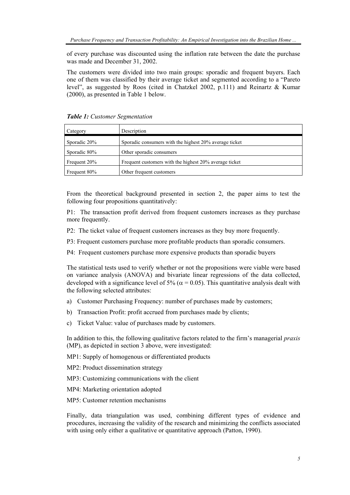of every purchase was discounted using the inflation rate between the date the purchase was made and December 31, 2002.

The customers were divided into two main groups: sporadic and frequent buyers. Each one of them was classified by their average ticket and segmented according to a "Pareto level", as suggested by Roos (cited in Chatzkel 2002, p.111) and Reinartz & Kumar (2000), as presented in Table 1 below.

| Category     | Description                                            |
|--------------|--------------------------------------------------------|
| Sporadic 20% | Sporadic consumers with the highest 20% average ticket |
| Sporadic 80% | Other sporadic consumers                               |
| Frequent 20% | Frequent customers with the highest 20% average ticket |
| Frequent 80% | Other frequent customers                               |

*Table 1: Customer Segmentation*

From the theoretical background presented in section 2, the paper aims to test the following four propositions quantitatively:

P1: The transaction profit derived from frequent customers increases as they purchase more frequently.

- P2: The ticket value of frequent customers increases as they buy more frequently.
- P3: Frequent customers purchase more profitable products than sporadic consumers.
- P4: Frequent customers purchase more expensive products than sporadic buyers

The statistical tests used to verify whether or not the propositions were viable were based on variance analysis (ANOVA) and bivariate linear regressions of the data collected, developed with a significance level of 5% ( $\alpha$  = 0.05). This quantitative analysis dealt with the following selected attributes:

- a) Customer Purchasing Frequency: number of purchases made by customers;
- b) Transaction Profit: profit accrued from purchases made by clients;
- c) Ticket Value: value of purchases made by customers.

In addition to this, the following qualitative factors related to the firm's managerial *praxis* (MP), as depicted in section 3 above, were investigated:

MP1: Supply of homogenous or differentiated products

MP2: Product dissemination strategy

- MP3: Customizing communications with the client
- MP4: Marketing orientation adopted
- MP5: Customer retention mechanisms

Finally, data triangulation was used, combining different types of evidence and procedures, increasing the validity of the research and minimizing the conflicts associated with using only either a qualitative or quantitative approach (Patton, 1990).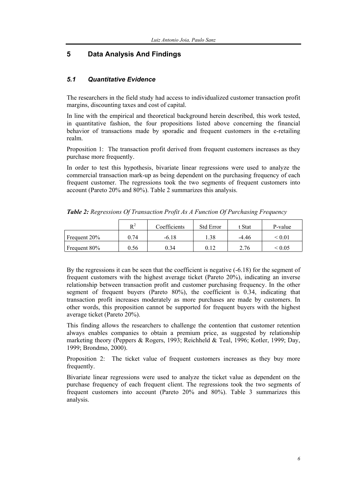# **5 Data Analysis And Findings**

## *5.1 Quantitative Evidence*

The researchers in the field study had access to individualized customer transaction profit margins, discounting taxes and cost of capital.

In line with the empirical and theoretical background herein described, this work tested, in quantitative fashion, the four propositions listed above concerning the financial behavior of transactions made by sporadic and frequent customers in the e-retailing realm.

Proposition 1: The transaction profit derived from frequent customers increases as they purchase more frequently.

In order to test this hypothesis, bivariate linear regressions were used to analyze the commercial transaction mark-up as being dependent on the purchasing frequency of each frequent customer. The regressions took the two segments of frequent customers into account (Pareto 20% and 80%). Table 2 summarizes this analysis.

|              | $\mathbf{R}^2$ | Coefficients | <b>Std Error</b> | t Stat  | P-value                     |
|--------------|----------------|--------------|------------------|---------|-----------------------------|
| Frequent 20% | 0.74           | $-6.18$      | .38              | $-4.46$ | $\stackrel{<}{_{\sim}}0.01$ |
| Frequent 80% | 9.56           | 0.34         | 0.12             | 2.76    | ፡ 0.05                      |

*Table 2: Regressions Of Transaction Profit As A Function Of Purchasing Frequency*

By the regressions it can be seen that the coefficient is negative (-6.18) for the segment of frequent customers with the highest average ticket (Pareto 20%), indicating an inverse relationship between transaction profit and customer purchasing frequency. In the other segment of frequent buyers (Pareto 80%), the coefficient is 0.34, indicating that transaction profit increases moderately as more purchases are made by customers. In other words, this proposition cannot be supported for frequent buyers with the highest average ticket (Pareto 20%).

This finding allows the researchers to challenge the contention that customer retention always enables companies to obtain a premium price, as suggested by relationship marketing theory (Peppers & Rogers, 1993; Reichheld & Teal, 1996; Kotler, 1999; Day, 1999; Brondmo, 2000).

Proposition 2: The ticket value of frequent customers increases as they buy more frequently.

Bivariate linear regressions were used to analyze the ticket value as dependent on the purchase frequency of each frequent client. The regressions took the two segments of frequent customers into account (Pareto 20% and 80%). Table 3 summarizes this analysis.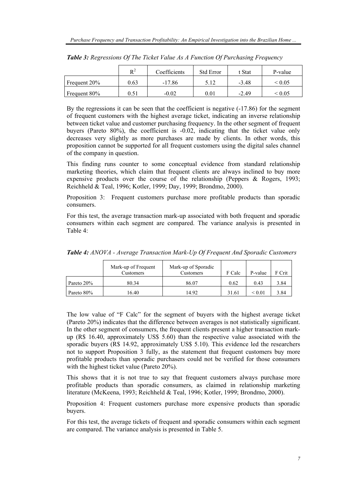|              | $D^2$ | Coefficients | <b>Std Error</b> | t Stat  | P-value      |
|--------------|-------|--------------|------------------|---------|--------------|
| Frequent 20% | 0.63  | $-17.86$     | 5.12             | $-3.48$ | ${}^{<}0.05$ |
| Frequent 80% | 0.51  | $-0.02$      | $0.01\,$         | $-2.49$ | ≤ 0.05       |

*Table 3: Regressions Of The Ticket Value As A Function Of Purchasing Frequency* 

By the regressions it can be seen that the coefficient is negative (-17.86) for the segment of frequent customers with the highest average ticket, indicating an inverse relationship between ticket value and customer purchasing frequency. In the other segment of frequent buyers (Pareto 80%), the coefficient is -0.02, indicating that the ticket value only decreases very slightly as more purchases are made by clients. In other words, this proposition cannot be supported for all frequent customers using the digital sales channel of the company in question.

This finding runs counter to some conceptual evidence from standard relationship marketing theories, which claim that frequent clients are always inclined to buy more expensive products over the course of the relationship (Peppers & Rogers, 1993; Reichheld & Teal, 1996; Kotler, 1999; Day, 1999; Brondmo, 2000).

Proposition 3: Frequent customers purchase more profitable products than sporadic consumers.

For this test, the average transaction mark-up associated with both frequent and sporadic consumers within each segment are compared. The variance analysis is presented in Table 4:

|            | Mark-up of Frequent<br>Customers | Mark-up of Sporadic<br>Customers | F Calc | P-value | F Crit |
|------------|----------------------------------|----------------------------------|--------|---------|--------|
| Pareto 20% | 80.34                            | 86.07                            | 0.62   | 0.43    | 3.84   |
| Pareto 80% | 16.40                            | 14.92                            | 31.61  | < 0.01  | 3.84   |

*Table 4: ANOVA - Average Transaction Mark-Up Of Frequent And Sporadic Customers* 

The low value of "F Calc" for the segment of buyers with the highest average ticket (Pareto 20%) indicates that the difference between averages is not statistically significant. In the other segment of consumers, the frequent clients present a higher transaction markup (R\$ 16.40, approximately US\$ 5.60) than the respective value associated with the sporadic buyers (R\$ 14.92, approximately US\$ 5.10). This evidence led the researchers not to support Proposition 3 fully, as the statement that frequent customers buy more profitable products than sporadic purchasers could not be verified for those consumers with the highest ticket value (Pareto 20%).

This shows that it is not true to say that frequent customers always purchase more profitable products than sporadic consumers, as claimed in relationship marketing literature (McKeena, 1993; Reichheld & Teal, 1996; Kotler, 1999; Brondmo, 2000).

Proposition 4: Frequent customers purchase more expensive products than sporadic buyers.

For this test, the average tickets of frequent and sporadic consumers within each segment are compared. The variance analysis is presented in Table 5.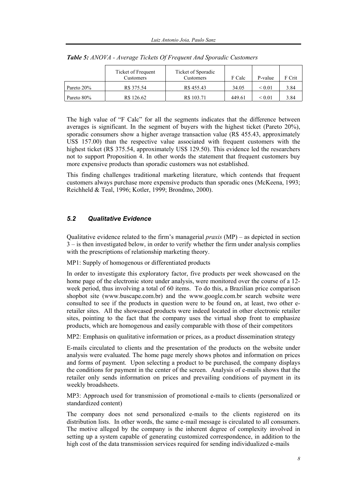|            | Ticket of Frequent<br>Customers | Ticket of Sporadic<br>Customers | F Calc | P-value          | F Crit |
|------------|---------------------------------|---------------------------------|--------|------------------|--------|
| Pareto 20% | R\$ 375.54                      | R\$455.43                       | 34.05  | ${}_{\leq 0.01}$ | 3.84   |
| Pareto 80% | R\$ 126.62                      | R\$ 103.71                      | 449.61 | ${}^{< 0.01}$    | 3.84   |

*Table 5: ANOVA - Average Tickets Of Frequent And Sporadic Customers* 

The high value of "F Calc" for all the segments indicates that the difference between averages is significant. In the segment of buyers with the highest ticket (Pareto 20%), sporadic consumers show a higher average transaction value (R\$ 455.43, approximately US\$ 157.00) than the respective value associated with frequent customers with the highest ticket (R\$ 375.54, approximately US\$ 129.50). This evidence led the researchers not to support Proposition 4. In other words the statement that frequent customers buy more expensive products than sporadic customers was not established.

This finding challenges traditional marketing literature, which contends that frequent customers always purchase more expensive products than sporadic ones (McKeena, 1993; Reichheld & Teal, 1996; Kotler, 1999; Brondmo, 2000).

## *5.2 Qualitative Evidence*

Qualitative evidence related to the firm's managerial *praxis* (MP) – as depicted in section 3 – is then investigated below, in order to verify whether the firm under analysis complies with the prescriptions of relationship marketing theory.

MP1: Supply of homogenous or differentiated products

In order to investigate this exploratory factor, five products per week showcased on the home page of the electronic store under analysis, were monitored over the course of a 12 week period, thus involving a total of 60 items. To do this, a Brazilian price comparison shopbot site (www.buscape.com.br) and the www.google.com.br search website were consulted to see if the products in question were to be found on, at least, two other eretailer sites. All the showcased products were indeed located in other electronic retailer sites, pointing to the fact that the company uses the virtual shop front to emphasize products, which are homogenous and easily comparable with those of their competitors

MP2: Emphasis on qualitative information or prices, as a product dissemination strategy

E-mails circulated to clients and the presentation of the products on the website under analysis were evaluated. The home page merely shows photos and information on prices and forms of payment. Upon selecting a product to be purchased, the company displays the conditions for payment in the center of the screen. Analysis of e-mails shows that the retailer only sends information on prices and prevailing conditions of payment in its weekly broadsheets.

MP3: Approach used for transmission of promotional e-mails to clients (personalized or standardized content)

The company does not send personalized e-mails to the clients registered on its distribution lists. In other words, the same e-mail message is circulated to all consumers. The motive alleged by the company is the inherent degree of complexity involved in setting up a system capable of generating customized correspondence, in addition to the high cost of the data transmission services required for sending individualized e-mails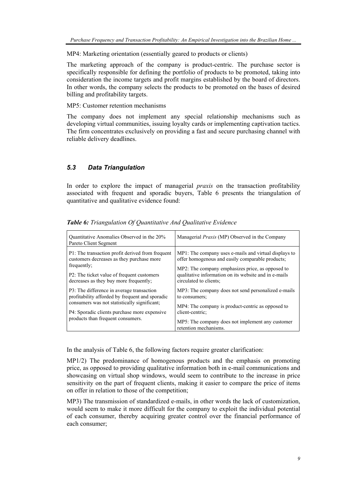MP4: Marketing orientation (essentially geared to products or clients)

The marketing approach of the company is product-centric. The purchase sector is specifically responsible for defining the portfolio of products to be promoted, taking into consideration the income targets and profit margins established by the board of directors. In other words, the company selects the products to be promoted on the bases of desired billing and profitability targets.

## MP5: Customer retention mechanisms

The company does not implement any special relationship mechanisms such as developing virtual communities, issuing loyalty cards or implementing captivation tactics. The firm concentrates exclusively on providing a fast and secure purchasing channel with reliable delivery deadlines.

## *5.3 Data Triangulation*

In order to explore the impact of managerial *praxis* on the transaction profitability associated with frequent and sporadic buyers, Table 6 presents the triangulation of quantitative and qualitative evidence found:

| Quantitative Anomalies Observed in the 20%<br>Pareto Client Segment                                                                                        | Managerial <i>Praxis</i> (MP) Observed in the Company                                                                                                                                                                  |  |  |
|------------------------------------------------------------------------------------------------------------------------------------------------------------|------------------------------------------------------------------------------------------------------------------------------------------------------------------------------------------------------------------------|--|--|
| P1: The transaction profit derived from frequent<br>customers decreases as they purchase more<br>frequently;<br>P2: The ticket value of frequent customers | MP1: The company uses e-mails and virtual displays to<br>offer homogenous and easily comparable products;<br>MP2: The company emphasizes price, as opposed to<br>qualitative information on its website and in e-mails |  |  |
| decreases as they buy more frequently;                                                                                                                     | circulated to clients;                                                                                                                                                                                                 |  |  |
| P3: The difference in average transaction<br>profitability afforded by frequent and sporadic                                                               | MP3: The company does not send personalized e-mails<br>to consumers;                                                                                                                                                   |  |  |
| consumers was not statistically significant;<br>P4: Sporadic clients purchase more expensive                                                               | MP4: The company is product-centric as opposed to<br>client-centric;                                                                                                                                                   |  |  |
| products than frequent consumers.                                                                                                                          | MP5: The company does not implement any customer<br>retention mechanisms.                                                                                                                                              |  |  |

*Table 6: Triangulation Of Quantitative And Qualitative Evidence* 

In the analysis of Table 6, the following factors require greater clarification:

MP1/2) The predominance of homogenous products and the emphasis on promoting price, as opposed to providing qualitative information both in e-mail communications and showcasing on virtual shop windows, would seem to contribute to the increase in price sensitivity on the part of frequent clients, making it easier to compare the price of items on offer in relation to those of the competition;

MP3) The transmission of standardized e-mails, in other words the lack of customization, would seem to make it more difficult for the company to exploit the individual potential of each consumer, thereby acquiring greater control over the financial performance of each consumer;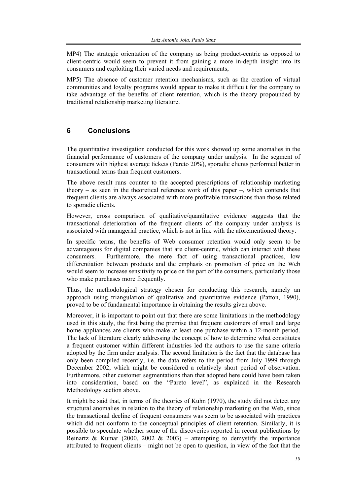MP4) The strategic orientation of the company as being product-centric as opposed to client-centric would seem to prevent it from gaining a more in-depth insight into its consumers and exploiting their varied needs and requirements;

MP5) The absence of customer retention mechanisms, such as the creation of virtual communities and loyalty programs would appear to make it difficult for the company to take advantage of the benefits of client retention, which is the theory propounded by traditional relationship marketing literature.

# **6 Conclusions**

The quantitative investigation conducted for this work showed up some anomalies in the financial performance of customers of the company under analysis. In the segment of consumers with highest average tickets (Pareto 20%), sporadic clients performed better in transactional terms than frequent customers.

The above result runs counter to the accepted prescriptions of relationship marketing theory – as seen in the theoretical reference work of this paper –, which contends that frequent clients are always associated with more profitable transactions than those related to sporadic clients.

However, cross comparison of qualitative/quantitative evidence suggests that the transactional deterioration of the frequent clients of the company under analysis is associated with managerial practice, which is not in line with the aforementioned theory.

In specific terms, the benefits of Web consumer retention would only seem to be advantageous for digital companies that are client-centric, which can interact with these consumers. Furthermore, the mere fact of using transactional practices, low differentiation between products and the emphasis on promotion of price on the Web would seem to increase sensitivity to price on the part of the consumers, particularly those who make purchases more frequently.

Thus, the methodological strategy chosen for conducting this research, namely an approach using triangulation of qualitative and quantitative evidence (Patton, 1990), proved to be of fundamental importance in obtaining the results given above.

Moreover, it is important to point out that there are some limitations in the methodology used in this study, the first being the premise that frequent customers of small and large home appliances are clients who make at least one purchase within a 12-month period. The lack of literature clearly addressing the concept of how to determine what constitutes a frequent customer within different industries led the authors to use the same criteria adopted by the firm under analysis. The second limitation is the fact that the database has only been compiled recently, i.e. the data refers to the period from July 1999 through December 2002, which might be considered a relatively short period of observation. Furthermore, other customer segmentations than that adopted here could have been taken into consideration, based on the "Pareto level", as explained in the Research Methodology section above.

It might be said that, in terms of the theories of Kuhn (1970), the study did not detect any structural anomalies in relation to the theory of relationship marketing on the Web, since the transactional decline of frequent consumers was seem to be associated with practices which did not conform to the conceptual principles of client retention. Similarly, it is possible to speculate whether some of the discoveries reported in recent publications by Reinartz & Kumar (2000, 2002 & 2003) – attempting to demystify the importance attributed to frequent clients – might not be open to question, in view of the fact that the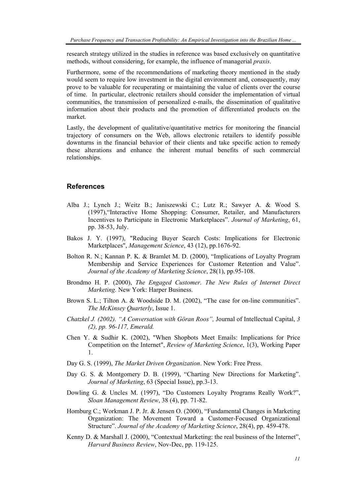research strategy utilized in the studies in reference was based exclusively on quantitative methods, without considering, for example, the influence of managerial *praxis*.

Furthermore, some of the recommendations of marketing theory mentioned in the study would seem to require low investment in the digital environment and, consequently, may prove to be valuable for recuperating or maintaining the value of clients over the course of time. In particular, electronic retailers should consider the implementation of virtual communities, the transmission of personalized e-mails, the dissemination of qualitative information about their products and the promotion of differentiated products on the market.

Lastly, the development of qualitative/quantitative metrics for monitoring the financial trajectory of consumers on the Web, allows electronic retailers to identify possible downturns in the financial behavior of their clients and take specific action to remedy these alterations and enhance the inherent mutual benefits of such commercial relationships.

## **References**

- Alba J.; Lynch J.; Weitz B.; Janiszewski C.; Lutz R.; Sawyer A. & Wood S. (1997),"Interactive Home Shopping: Consumer, Retailer, and Manufacturers Incentives to Participate in Electronic Marketplaces". *Journal of Marketing*, 61, pp. 38-53, July.
- Bakos J. Y. (1997), "Reducing Buyer Search Costs: Implications for Electronic Marketplaces", *Management Science*, 43 (12), pp.1676-92.
- Bolton R. N.; Kannan P. K. & Bramlet M. D. (2000), "Implications of Loyalty Program Membership and Service Experiences for Customer Retention and Value". *Journal of the Academy of Marketing Science*, 28(1), pp.95-108.
- Brondmo H. P. (2000), *The Engaged Customer. The New Rules of Internet Direct Marketing.* New York: Harper Business.
- Brown S. L.; Tilton A. & Woodside D. M. (2002), "The case for on-line communities". *The McKinsey Quarterly*, Issue 1.
- *Chatzkel J. (2002). "A Conversation with Göran Roos",* Journal of Intellectual Capital, *3 (2), pp. 96-117, Emerald.*
- Chen Y. & Sudhir K. (2002), "When Shopbots Meet Emails: Implications for Price Competition on the Internet", *Review of Marketing Science*, 1(3), Working Paper 1.
- Day G. S. (1999), *The Market Driven Organization*. New York: Free Press.
- Day G. S. & Montgomery D. B. (1999), "Charting New Directions for Marketing". *Journal of Marketing*, 63 (Special Issue), pp.3-13.
- Dowling G. & Uncles M. (1997), "Do Customers Loyalty Programs Really Work?", *Sloan Management Review*, 38 (4), pp. 71-82.
- Homburg C.; Workman J. P. Jr. & Jensen O. (2000), "Fundamental Changes in Marketing Organization: The Movement Toward a Customer-Focused Organizational Structure". *Journal of the Academy of Marketing Science*, 28(4), pp. 459-478.
- Kenny D. & Marshall J. (2000), "Contextual Marketing: the real business of the Internet", *Harvard Business Review*, Nov-Dec, pp. 119-125.